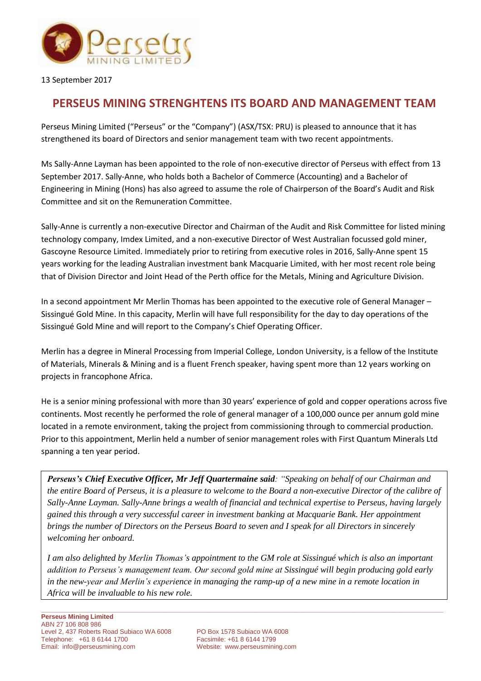

13 September 2017

## **PERSEUS MINING STRENGHTENS ITS BOARD AND MANAGEMENT TEAM**

Perseus Mining Limited ("Perseus" or the "Company") (ASX/TSX: PRU) is pleased to announce that it has strengthened its board of Directors and senior management team with two recent appointments.

Ms Sally-Anne Layman has been appointed to the role of non-executive director of Perseus with effect from 13 September 2017. Sally-Anne, who holds both a Bachelor of Commerce (Accounting) and a Bachelor of Engineering in Mining (Hons) has also agreed to assume the role of Chairperson of the Board's Audit and Risk Committee and sit on the Remuneration Committee.

Sally-Anne is currently a non-executive Director and Chairman of the Audit and Risk Committee for listed mining technology company, Imdex Limited, and a non-executive Director of West Australian focussed gold miner, Gascoyne Resource Limited. Immediately prior to retiring from executive roles in 2016, Sally-Anne spent 15 years working for the leading Australian investment bank Macquarie Limited, with her most recent role being that of Division Director and Joint Head of the Perth office for the Metals, Mining and Agriculture Division.

In a second appointment Mr Merlin Thomas has been appointed to the executive role of General Manager – Sissingué Gold Mine. In this capacity, Merlin will have full responsibility for the day to day operations of the Sissingué Gold Mine and will report to the Company's Chief Operating Officer.

Merlin has a degree in Mineral Processing from Imperial College, London University, is a fellow of the Institute of Materials, Minerals & Mining and is a fluent French speaker, having spent more than 12 years working on projects in francophone Africa.

He is a senior mining professional with more than 30 years' experience of gold and copper operations across five continents. Most recently he performed the role of general manager of a 100,000 ounce per annum gold mine located in a remote environment, taking the project from commissioning through to commercial production. Prior to this appointment, Merlin held a number of senior management roles with First Quantum Minerals Ltd spanning a ten year period.

*Perseus's Chief Executive Officer, Mr Jeff Quartermaine said: "Speaking on behalf of our Chairman and the entire Board of Perseus, it is a pleasure to welcome to the Board a non-executive Director of the calibre of Sally-Anne Layman. Sally-Anne brings a wealth of financial and technical expertise to Perseus, having largely gained this through a very successful career in investment banking at Macquarie Bank. Her appointment brings the number of Directors on the Perseus Board to seven and I speak for all Directors in sincerely welcoming her onboard.*

*I am also delighted by Merlin Thomas's appointment to the GM role at Sissingué which is also an important addition to Perseus's management team. Our second gold mine at Sissingué will begin producing gold early in the new-year and Merlin's experience in managing the ramp-up of a new mine in a remote location in Africa will be invaluable to his new role.* 

**\_\_\_\_\_\_\_\_\_\_\_\_\_\_\_\_\_\_\_\_\_\_\_\_\_\_\_\_\_\_\_\_\_\_\_\_\_\_\_\_\_\_\_\_\_\_\_\_\_\_\_\_\_\_\_\_\_\_\_\_\_\_\_\_\_\_\_\_\_\_\_\_\_\_\_\_\_\_\_\_\_\_\_\_\_\_\_\_\_\_\_\_\_\_\_\_\_\_\_\_\_\_\_\_\_\_\_\_\_\_\_\_**

Website: [www.perseusmining.com](http://www.perseusmining.com/)